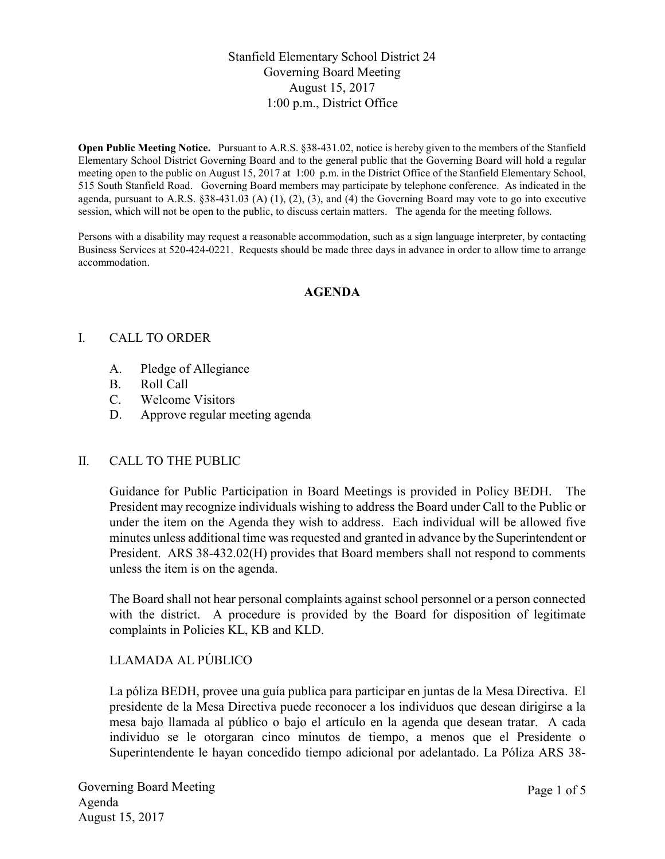# Stanfield Elementary School District 24 Governing Board Meeting August 15, 2017 1:00 p.m., District Office

Open Public Meeting Notice. Pursuant to A.R.S. §38-431.02, notice is hereby given to the members of the Stanfield Elementary School District Governing Board and to the general public that the Governing Board will hold a regular meeting open to the public on August 15, 2017 at 1:00 p.m. in the District Office of the Stanfield Elementary School, 515 South Stanfield Road. Governing Board members may participate by telephone conference. As indicated in the agenda, pursuant to A.R.S.  $\S 38-431.03$  (A) (1), (2), (3), and (4) the Governing Board may vote to go into executive session, which will not be open to the public, to discuss certain matters. The agenda for the meeting follows.

Persons with a disability may request a reasonable accommodation, such as a sign language interpreter, by contacting Business Services at 520-424-0221. Requests should be made three days in advance in order to allow time to arrange accommodation.

## AGENDA

## I. CALL TO ORDER

- A. Pledge of Allegiance
- B. Roll Call
- C. Welcome Visitors
- D. Approve regular meeting agenda

#### II. CALL TO THE PUBLIC

Guidance for Public Participation in Board Meetings is provided in Policy BEDH. The President may recognize individuals wishing to address the Board under Call to the Public or under the item on the Agenda they wish to address. Each individual will be allowed five minutes unless additional time was requested and granted in advance by the Superintendent or President. ARS 38-432.02(H) provides that Board members shall not respond to comments unless the item is on the agenda.

The Board shall not hear personal complaints against school personnel or a person connected with the district. A procedure is provided by the Board for disposition of legitimate complaints in Policies KL, KB and KLD.

# LLAMADA AL PÚBLICO

La póliza BEDH, provee una guía publica para participar en juntas de la Mesa Directiva. El presidente de la Mesa Directiva puede reconocer a los individuos que desean dirigirse a la mesa bajo llamada al público o bajo el artículo en la agenda que desean tratar. A cada individuo se le otorgaran cinco minutos de tiempo, a menos que el Presidente o Superintendente le hayan concedido tiempo adicional por adelantado. La Póliza ARS 38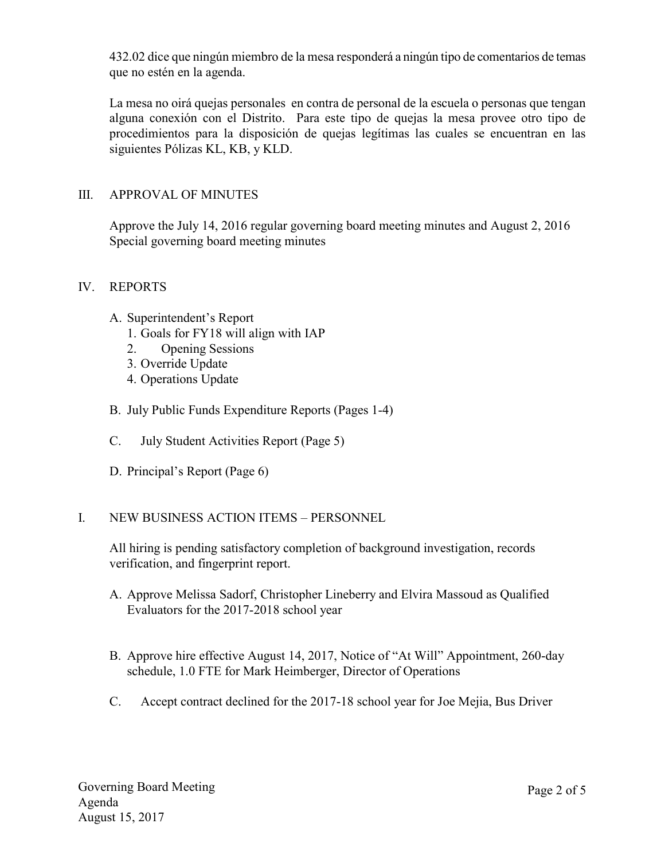432.02 dice que ningún miembro de la mesa responderá a ningún tipo de comentarios de temas que no estén en la agenda.

La mesa no oirá quejas personales en contra de personal de la escuela o personas que tengan alguna conexión con el Distrito. Para este tipo de quejas la mesa provee otro tipo de procedimientos para la disposición de quejas legítimas las cuales se encuentran en las siguientes Pólizas KL, KB, y KLD.

## III. APPROVAL OF MINUTES

Approve the July 14, 2016 regular governing board meeting minutes and August 2, 2016 Special governing board meeting minutes

#### IV. REPORTS

- A. Superintendent's Report
	- 1. Goals for FY18 will align with IAP
	- 2. Opening Sessions
	- 3. Override Update
	- 4. Operations Update
- B. July Public Funds Expenditure Reports (Pages 1-4)
- C. July Student Activities Report (Page 5)
- D. Principal's Report (Page 6)

#### I. NEW BUSINESS ACTION ITEMS – PERSONNEL

All hiring is pending satisfactory completion of background investigation, records verification, and fingerprint report.

- A. Approve Melissa Sadorf, Christopher Lineberry and Elvira Massoud as Qualified Evaluators for the 2017-2018 school year
- B. Approve hire effective August 14, 2017, Notice of "At Will" Appointment, 260-day schedule, 1.0 FTE for Mark Heimberger, Director of Operations
- C. Accept contract declined for the 2017-18 school year for Joe Mejia, Bus Driver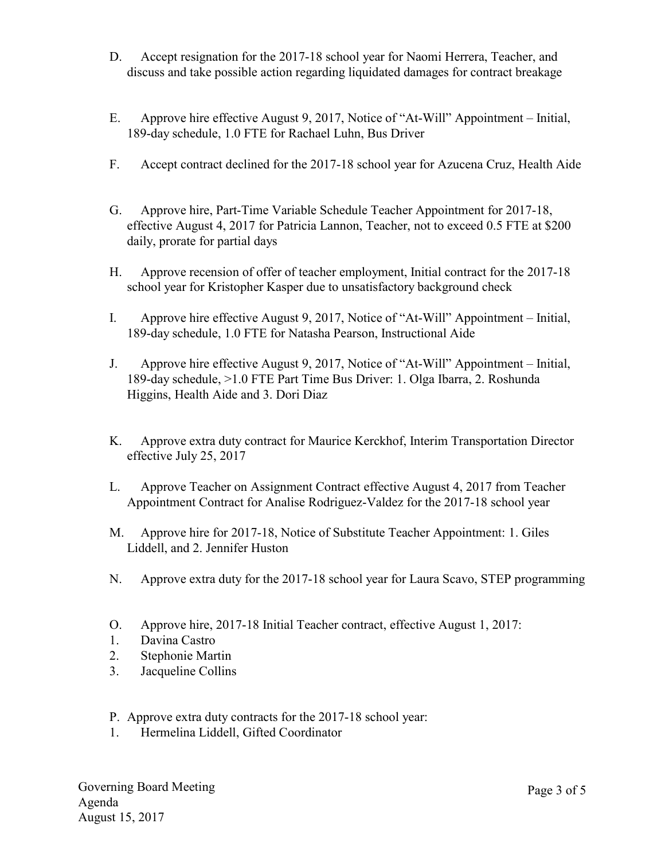- D. Accept resignation for the 2017-18 school year for Naomi Herrera, Teacher, and discuss and take possible action regarding liquidated damages for contract breakage
- E. Approve hire effective August 9, 2017, Notice of "At-Will" Appointment Initial, 189-day schedule, 1.0 FTE for Rachael Luhn, Bus Driver
- F. Accept contract declined for the 2017-18 school year for Azucena Cruz, Health Aide
- G. Approve hire, Part-Time Variable Schedule Teacher Appointment for 2017-18, effective August 4, 2017 for Patricia Lannon, Teacher, not to exceed 0.5 FTE at \$200 daily, prorate for partial days
- H. Approve recension of offer of teacher employment, Initial contract for the 2017-18 school year for Kristopher Kasper due to unsatisfactory background check
- I. Approve hire effective August 9, 2017, Notice of "At-Will" Appointment Initial, 189-day schedule, 1.0 FTE for Natasha Pearson, Instructional Aide
- J. Approve hire effective August 9, 2017, Notice of "At-Will" Appointment Initial, 189-day schedule, >1.0 FTE Part Time Bus Driver: 1. Olga Ibarra, 2. Roshunda Higgins, Health Aide and 3. Dori Diaz
- K. Approve extra duty contract for Maurice Kerckhof, Interim Transportation Director effective July 25, 2017
- L. Approve Teacher on Assignment Contract effective August 4, 2017 from Teacher Appointment Contract for Analise Rodriguez-Valdez for the 2017-18 school year
- M. Approve hire for 2017-18, Notice of Substitute Teacher Appointment: 1. Giles Liddell, and 2. Jennifer Huston
- N. Approve extra duty for the 2017-18 school year for Laura Scavo, STEP programming
- O. Approve hire, 2017-18 Initial Teacher contract, effective August 1, 2017:
- 1. Davina Castro
- 2. Stephonie Martin
- 3. Jacqueline Collins
- P. Approve extra duty contracts for the 2017-18 school year:
- 1. Hermelina Liddell, Gifted Coordinator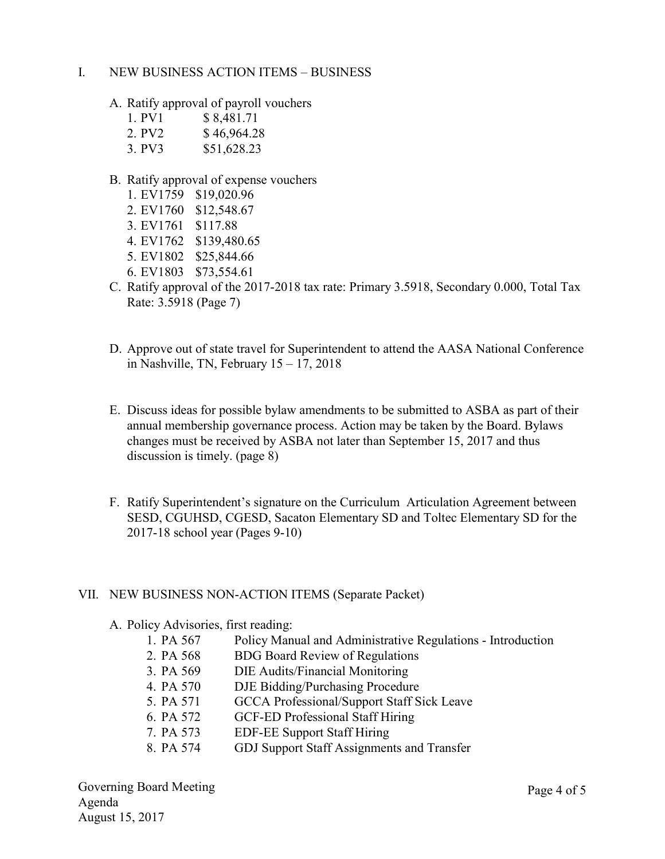## I. NEW BUSINESS ACTION ITEMS – BUSINESS

- A. Ratify approval of payroll vouchers
	- 1. PV1 \$ 8,481.71 2. PV2 \$46,964.28
	- 3. PV3 \$51,628.23
- B. Ratify approval of expense vouchers
	- 1. EV1759 \$19,020.96
	- 2. EV1760 \$12,548.67
	- 3. EV1761 \$117.88
	- 4. EV1762 \$139,480.65
	- 5. EV1802 \$25,844.66
	- 6. EV1803 \$73,554.61
- C. Ratify approval of the 2017-2018 tax rate: Primary 3.5918, Secondary 0.000, Total Tax Rate: 3.5918 (Page 7)
- D. Approve out of state travel for Superintendent to attend the AASA National Conference in Nashville, TN, February  $15 - 17$ , 2018
- E. Discuss ideas for possible bylaw amendments to be submitted to ASBA as part of their annual membership governance process. Action may be taken by the Board. Bylaws changes must be received by ASBA not later than September 15, 2017 and thus discussion is timely. (page 8)
- F. Ratify Superintendent's signature on the Curriculum Articulation Agreement between SESD, CGUHSD, CGESD, Sacaton Elementary SD and Toltec Elementary SD for the 2017-18 school year (Pages 9-10)

#### VII. NEW BUSINESS NON-ACTION ITEMS (Separate Packet)

A. Policy Advisories, first reading:

| 1. PA 567 | Policy Manual and Administrative Regulations - Introduction |
|-----------|-------------------------------------------------------------|
| 2. PA 568 | <b>BDG</b> Board Review of Regulations                      |
| 3. PA 569 | DIE Audits/Financial Monitoring                             |
| 4. PA 570 | DJE Bidding/Purchasing Procedure                            |
| 5. PA 571 | <b>GCCA</b> Professional/Support Staff Sick Leave           |
| 6. PA 572 | <b>GCF-ED Professional Staff Hiring</b>                     |
| 7. PA 573 | <b>EDF-EE Support Staff Hiring</b>                          |
| 8. PA 574 | GDJ Support Staff Assignments and Transfer                  |